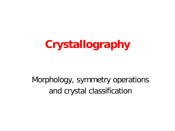# **Crystallography**

#### Morphology, symmetry operations and crystal classification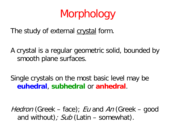# Morphology

The study of external crystal form.

A crystal is a regular geometric solid, bounded by smooth plane surfaces.

Single crystals on the most basic level may be **euhedral**, **subhedral** or **anhedral**.

Hedron (Greek – face); Eu and An (Greek – good and without);  $Sub$  (Latin – somewhat).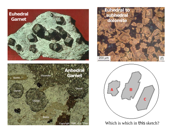







Which is which in this sketch?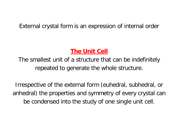#### External crystal form is an expression of internal order

#### **The Unit Cell**

The smallest unit of a structure that can be indefinitely repeated to generate the whole structure.

Irrespective of the external form (euhedral, subhedral, or anhedral) the properties and symmetry of every crystal can be condensed into the study of one single unit cell.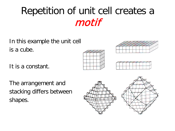### Repetition of unit cell creates a motif

In this example the unit cell is a cube.

It is a constant.







The arrangement and stacking differs between shapes.

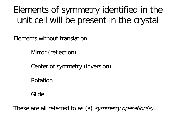#### Elements of symmetry identified in the unit cell will be present in the crystal

Elements without translation

Mirror (reflection)

Center of symmetry (inversion)

Rotation

Glide

These are all referred to as (a) symmetry operation(s).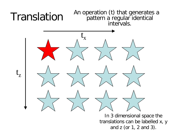

In 3 dimensional space the translations can be labelled x, y and z (or 1, 2 and 3).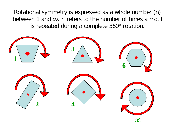Rotational symmetry is expressed as a whole number (n) between 1 and ∞. n refers to the number of times a motif is repeated during a complete 360° rotation.

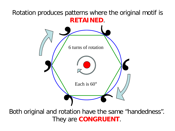#### Rotation produces patterns where the original motif is **RETAINED**.



Both original and rotation have the same "handedness". They are **CONGRUENT**.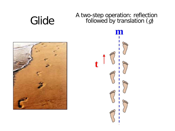# Glide A two-step operation: reflection<br>
Glide followed by translation (g)



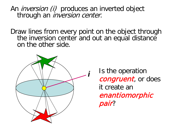An *inversion (i)* produces an inverted object through an *inversion center*.

Draw lines from every point on the object through the inversion center and out an equal distance on the other side.



*<sup>i</sup>* Is the operation congruent, or does it create an enantiomorphic pair?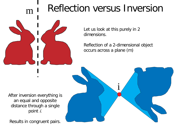### m i Reflection versus Inversion



Let us look at this purely in 2 dimensions.

Reflection of a 2-dimensional object occurs across a plane (m)

i

After inversion everything is an equal and opposite distance through a single point *i.* 

Results in congruent pairs.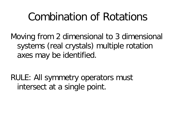### Combination of Rotations

Moving from 2 dimensional to 3 dimensional systems (real crystals) multiple rotation axes may be identified.

RULE: All symmetry operators must intersect at a single point.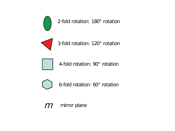

2-fold rotation: 180° rotation



3-fold rotation: 120° rotation



4-fold rotation: 90° rotation



6-fold rotation: 60° rotation

 $m$  mirror plane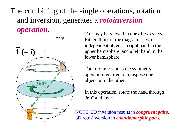#### The combining of the single operations, rotation and inversion, generates a *rotoinversion operation*.



360°

This may be viewed in one of two ways. Either, think of the diagram as two independent objects, a right hand in the upper hemisphere, and a left hand in the lower hemisphere.

The rotoinversion is the symmetry operation required to transpose one object onto the other.

In this operation, rotate the hand through 360° and invert.

NOTE: 2D inversion results in *congruent pairs*. 3D roto-inversion in *enantiomorphic pairs.*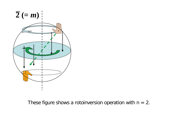

These figure shows a rotoinversion operation with  $n = 2$ .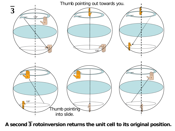Thumb pointing out towards you.



**A second 3 rotoinversion returns the unit cell to its original position.**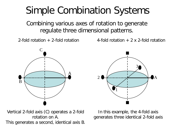#### Simple Combination Systems

Combining various axes of rotation to generate regulate three dimensional patterns.

2-fold rotation  $+$  2-fold rotation  $-$  4-fold rotation  $+$  2 x 2-fold rotation



A 3 2 1

Vertical 2-fold axis (C) operates a 2-fold rotation on A. This generates a second, identical axis B.

In this example, the 4-fold axis generates three identical 2-fold axis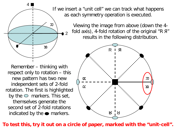

Remember – thinking with respect only to rotation – this new pattern has two new independent sets of 2-fold rotation. The first is highlighted by the  $\circ$  markers. This set, themselves generate the second set of 2-fold rotations indicated by the  $\bullet$  markers.

If we insert a "unit cell" we can track what happens as each symmetry operation is executed.

> Viewing the image from above (down the 4 fold axis), 4-fold rotation of the original "R Я" results in the following distribution.



**To test this, try it out on a circle of paper, marked with the "unit-cell".**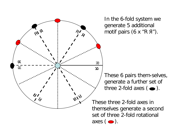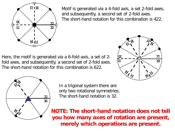

Motif is generated via a 4-fold axis, a set 2-fold axes, and subsequently, a second set of 2-fold axes. The short-hand notation for this combination is 422.

Here, the motif is generated via a 6-fold axis, a set of 2 fold axes, and subsequently, a second set of 2-fold axes. The short-hand notation for this combination is 622.





In a trigonal system there are only two rotational symmetries. The short-hand notation is 32.

**NOTE: The short-hand notation does not tell you how many axes of rotation are present, merely which operations are present.**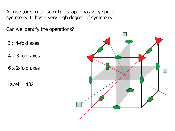A cube (or similar isometric shape) has very special symmetry. It has a very high degree of symmetry.

Can we identify the operations?

3 x 4-fold axes

4 x 3-fold axes

6 x 2-fold axes

Label  $= 432$ 

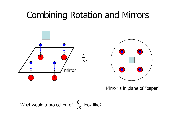#### Combining Rotation and Mirrors





Mirror is in plane of "paper"

What would a projection of 
$$
\frac{6}{m}
$$
 look like?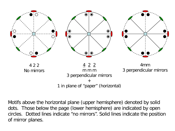

Motifs above the horizontal plane (upper hemisphere) denoted by solid dots. Those below the page (lower hemisphere) are indicated by open circles. Dotted lines indicate "no mirrors". Solid lines indicate the position of mirror planes.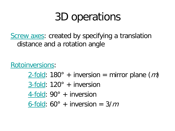# 3D operations

Screw axes: created by specifying a translation distance and a rotation angle

Rotoinversions:

 $2$ -fold: 180° + inversion = mirror plane (*m*) 3-fold: 120° + inversion 4-fold: 90° + inversion 6-fold:  $60^\circ$  + inversion =  $3/m$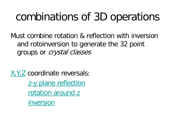## combinations of 3D operations

Must combine rotation & reflection with inversion and rotoinversion to generate the 32 point groups or crystal classes

X,Y,Z coordinate reversals: z-y plane reflection rotation around z inversion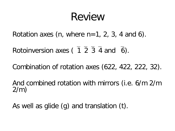### Review

Rotation axes (n, where  $n=1, 2, 3, 4$  and 6).

Rotoinversion axes ( $\overline{1}$ ,  $\overline{2}$ ,  $\overline{3}$ ,  $\overline{4}$  and  $\overline{6}$ ).

Combination of rotation axes (622, 422, 222, 32).

And combined rotation with mirrors (i.e. 6/m 2/m 2/m)

As well as glide (g) and translation (t).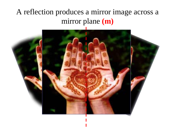#### A reflection produces a mirror image across a mirror plane **(m)**